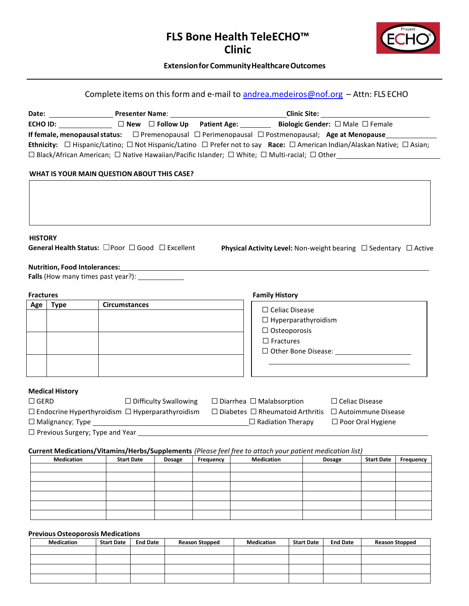## **FLS Bone Health TeleECHO™ Clinic**



### $\blacksquare$ Extension for Community Healthcare Outcomes

# Complete items on this form and e-mail to [andrea.medeiros@nof.org](mailto:andrea.medeiros@nof.org) - Attn: FLS ECHO

|                  |                                                             |                      |                              |           |                                                                                                                               | <b>Clinic Site: Clinic Site:</b> |                           |           |
|------------------|-------------------------------------------------------------|----------------------|------------------------------|-----------|-------------------------------------------------------------------------------------------------------------------------------|----------------------------------|---------------------------|-----------|
|                  |                                                             |                      |                              |           |                                                                                                                               |                                  |                           |           |
|                  |                                                             |                      |                              |           | If female, menopausal status: $\square$ Premenopausal $\square$ Perimenopausal $\square$ Postmenopausal; Age at Menopause     |                                  |                           |           |
|                  |                                                             |                      |                              |           | Ethnicity: □ Hispanic/Latino; □ Not Hispanic/Latino □ Prefer not to say Race: □ American Indian/Alaskan Native; □ Asian;      |                                  |                           |           |
|                  |                                                             |                      |                              |           | □ Black/African American; □ Native Hawaiian/Pacific Islander; □ White; □ Multi-racial; □ Other________________                |                                  |                           |           |
|                  |                                                             |                      |                              |           |                                                                                                                               |                                  |                           |           |
|                  | WHAT IS YOUR MAIN QUESTION ABOUT THIS CASE?                 |                      |                              |           |                                                                                                                               |                                  |                           |           |
|                  |                                                             |                      |                              |           |                                                                                                                               |                                  |                           |           |
|                  |                                                             |                      |                              |           |                                                                                                                               |                                  |                           |           |
|                  |                                                             |                      |                              |           |                                                                                                                               |                                  |                           |           |
|                  |                                                             |                      |                              |           |                                                                                                                               |                                  |                           |           |
| <b>HISTORY</b>   |                                                             |                      |                              |           |                                                                                                                               |                                  |                           |           |
|                  | General Health Status: □Poor □ Good □ Excellent             |                      |                              |           | <b>Physical Activity Level:</b> Non-weight bearing $\Box$ Sedentary $\Box$ Active                                             |                                  |                           |           |
|                  |                                                             |                      |                              |           |                                                                                                                               |                                  |                           |           |
|                  | <b>Nutrition, Food Intolerances:</b>                        |                      |                              |           |                                                                                                                               |                                  |                           |           |
|                  |                                                             |                      |                              |           |                                                                                                                               |                                  |                           |           |
| <b>Fractures</b> |                                                             |                      |                              |           | <b>Family History</b>                                                                                                         |                                  |                           |           |
| Age              | <b>Type</b>                                                 | <b>Circumstances</b> |                              |           |                                                                                                                               |                                  |                           |           |
|                  |                                                             |                      |                              |           | $\Box$ Celiac Disease                                                                                                         |                                  |                           |           |
|                  |                                                             |                      |                              |           | $\Box$ Hyperparathyroidism                                                                                                    |                                  |                           |           |
|                  |                                                             |                      |                              |           | $\Box$ Osteoporosis<br>$\Box$ Fractures                                                                                       |                                  |                           |           |
|                  |                                                             |                      |                              |           |                                                                                                                               | $\Box$ Other Bone Disease:       |                           |           |
|                  |                                                             |                      |                              |           |                                                                                                                               |                                  |                           |           |
|                  |                                                             |                      |                              |           |                                                                                                                               |                                  |                           |           |
|                  |                                                             |                      |                              |           |                                                                                                                               |                                  |                           |           |
|                  | <b>Medical History</b>                                      |                      |                              |           |                                                                                                                               |                                  |                           |           |
| $\Box$ GERD      |                                                             |                      | $\Box$ Difficulty Swallowing |           | $\Box$ Diarrhea $\Box$ Malabsorption                                                                                          | $\Box$ Celiac Disease            |                           |           |
|                  | $\Box$ Endocrine Hyperthyroidism $\Box$ Hyperparathyroidism |                      |                              |           | $\Box$ Diabetes $\Box$ Rheumatoid Arthritis                                                                                   |                                  | $\Box$ Autoimmune Disease |           |
|                  |                                                             |                      |                              |           |                                                                                                                               |                                  | □ Poor Oral Hygiene       |           |
|                  | $\Box$ Previous Surgery; Type and Year $\Box$               |                      |                              |           |                                                                                                                               |                                  |                           |           |
|                  |                                                             |                      |                              |           |                                                                                                                               |                                  |                           |           |
|                  | <b>Medication</b>                                           | <b>Start Date</b>    | Dosage                       | Frequency | Current Medications/Vitamins/Herbs/Supplements (Please feel free to attach your patient medication list)<br><b>Medication</b> | <b>Dosage</b>                    | <b>Start Date</b>         | Frequency |
|                  |                                                             |                      |                              |           |                                                                                                                               |                                  |                           |           |
|                  |                                                             |                      |                              |           |                                                                                                                               |                                  |                           |           |

#### **Previous Osteoporosis Medications**

| <b>Medication</b> | <b>Start Date</b> | <b>End Date</b> | <b>Reason Stopped</b> | <b>Medication</b> | <b>Start Date</b> | <b>End Date</b> | <b>Reason Stopped</b> |
|-------------------|-------------------|-----------------|-----------------------|-------------------|-------------------|-----------------|-----------------------|
|                   |                   |                 |                       |                   |                   |                 |                       |
|                   |                   |                 |                       |                   |                   |                 |                       |
|                   |                   |                 |                       |                   |                   |                 |                       |
|                   |                   |                 |                       |                   |                   |                 |                       |